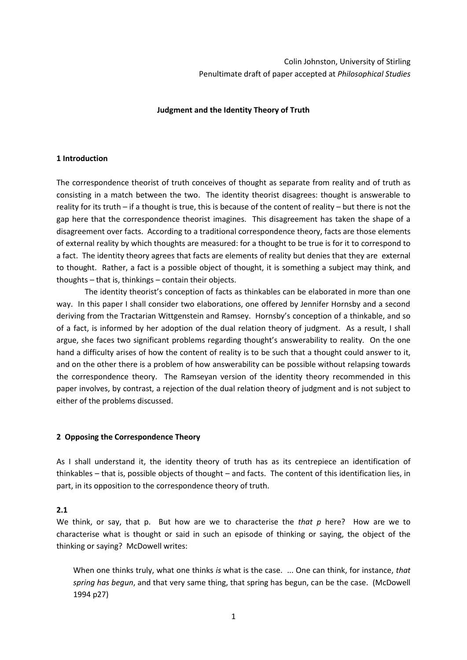# Colin Johnston, University of Stirling Penultimate draft of paper accepted at *Philosophical Studies*

### **Judgment and the Identity Theory of Truth**

### **1 Introduction**

The correspondence theorist of truth conceives of thought as separate from reality and of truth as consisting in a match between the two. The identity theorist disagrees: thought is answerable to reality for its truth – if a thought is true, this is because of the content of reality – but there is not the gap here that the correspondence theorist imagines. This disagreement has taken the shape of a disagreement over facts. According to a traditional correspondence theory, facts are those elements of external reality by which thoughts are measured: for a thought to be true is for it to correspond to a fact. The identity theory agrees that facts are elements of reality but denies that they are external to thought. Rather, a fact is a possible object of thought, it is something a subject may think, and thoughts – that is, thinkings – contain their objects.

The identity theorist's conception of facts as thinkables can be elaborated in more than one way. In this paper I shall consider two elaborations, one offered by Jennifer Hornsby and a second deriving from the Tractarian Wittgenstein and Ramsey. Hornsby's conception of a thinkable, and so of a fact, is informed by her adoption of the dual relation theory of judgment. As a result, I shall argue, she faces two significant problems regarding thought's answerability to reality. On the one hand a difficulty arises of how the content of reality is to be such that a thought could answer to it, and on the other there is a problem of how answerability can be possible without relapsing towards the correspondence theory. The Ramseyan version of the identity theory recommended in this paper involves, by contrast, a rejection of the dual relation theory of judgment and is not subject to either of the problems discussed.

#### **2 Opposing the Correspondence Theory**

As I shall understand it, the identity theory of truth has as its centrepiece an identification of thinkables – that is, possible objects of thought – and facts. The content of this identification lies, in part, in its opposition to the correspondence theory of truth.

## **2.1**

We think, or say, that p. But how are we to characterise the *that p* here? How are we to characterise what is thought or said in such an episode of thinking or saying, the object of the thinking or saying? McDowell writes:

When one thinks truly, what one thinks *is* what is the case. ... One can think, for instance, *that spring has begun*, and that very same thing, that spring has begun, can be the case. (McDowell 1994 p27)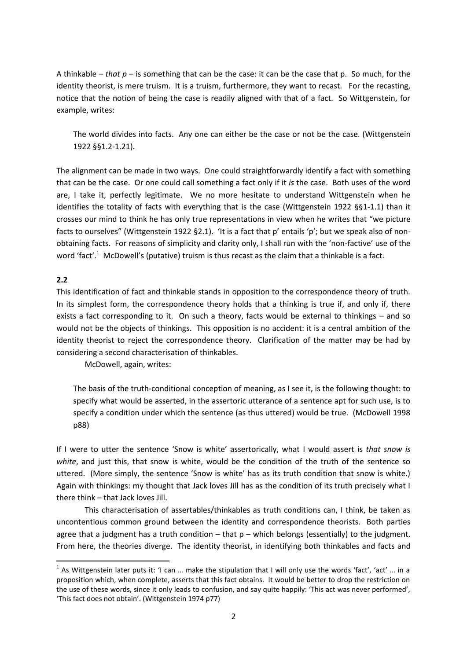A thinkable – *that p* – is something that can be the case: it can be the case that p. So much, for the identity theorist, is mere truism. It is a truism, furthermore, they want to recast. For the recasting, notice that the notion of being the case is readily aligned with that of a fact. So Wittgenstein, for example, writes:

The world divides into facts. Any one can either be the case or not be the case. (Wittgenstein 1922 §§1.2-1.21).

The alignment can be made in two ways. One could straightforwardly identify a fact with something that can be the case. Or one could call something a fact only if it *is* the case. Both uses of the word are, I take it, perfectly legitimate. We no more hesitate to understand Wittgenstein when he identifies the totality of facts with everything that is the case (Wittgenstein 1922 §§1-1.1) than it crosses our mind to think he has only true representations in view when he writes that "we picture facts to ourselves" (Wittgenstein 1922 §2.1). 'It is a fact that p' entails 'p'; but we speak also of nonobtaining facts. For reasons of simplicity and clarity only, I shall run with the 'non-factive' use of the word 'fact'.<sup>1</sup> McDowell's (putative) truism is thus recast as the claim that a thinkable is a fact.

## **2.2**

1

This identification of fact and thinkable stands in opposition to the correspondence theory of truth. In its simplest form, the correspondence theory holds that a thinking is true if, and only if, there exists a fact corresponding to it. On such a theory, facts would be external to thinkings – and so would not be the objects of thinkings. This opposition is no accident: it is a central ambition of the identity theorist to reject the correspondence theory. Clarification of the matter may be had by considering a second characterisation of thinkables.

McDowell, again, writes:

The basis of the truth-conditional conception of meaning, as I see it, is the following thought: to specify what would be asserted, in the assertoric utterance of a sentence apt for such use, is to specify a condition under which the sentence (as thus uttered) would be true. (McDowell 1998 p88)

If I were to utter the sentence 'Snow is white' assertorically, what I would assert is *that snow is white*, and just this, that snow is white, would be the condition of the truth of the sentence so uttered. (More simply, the sentence 'Snow is white' has as its truth condition that snow is white.) Again with thinkings: my thought that Jack loves Jill has as the condition of its truth precisely what I there think – that Jack loves Jill.

This characterisation of assertables/thinkables as truth conditions can, I think, be taken as uncontentious common ground between the identity and correspondence theorists. Both parties agree that a judgment has a truth condition  $-$  that  $p -$  which belongs (essentially) to the judgment. From here, the theories diverge. The identity theorist, in identifying both thinkables and facts and

<sup>&</sup>lt;sup>1</sup> As Wittgenstein later puts it: 'I can ... make the stipulation that I will only use the words 'fact', 'act' ... in a proposition which, when complete, asserts that this fact obtains. It would be better to drop the restriction on the use of these words, since it only leads to confusion, and say quite happily: 'This act was never performed', 'This fact does not obtain'. (Wittgenstein 1974 p77)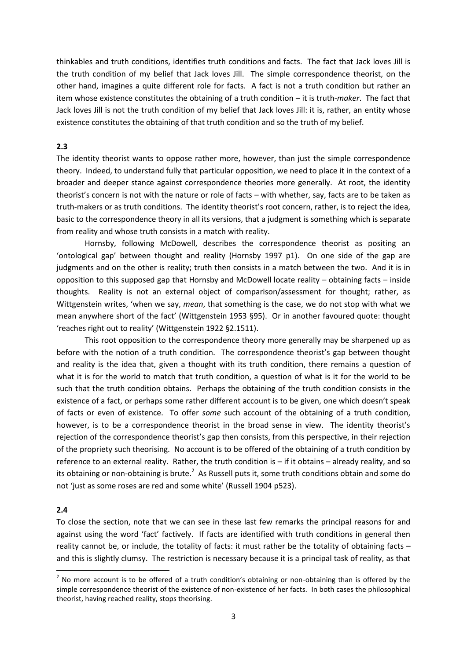thinkables and truth conditions, identifies truth conditions and facts. The fact that Jack loves Jill is the truth condition of my belief that Jack loves Jill. The simple correspondence theorist, on the other hand, imagines a quite different role for facts. A fact is not a truth condition but rather an item whose existence constitutes the obtaining of a truth condition – it is truth-*maker*. The fact that Jack loves Jill is not the truth condition of my belief that Jack loves Jill: it is, rather, an entity whose existence constitutes the obtaining of that truth condition and so the truth of my belief.

## **2.3**

The identity theorist wants to oppose rather more, however, than just the simple correspondence theory. Indeed, to understand fully that particular opposition, we need to place it in the context of a broader and deeper stance against correspondence theories more generally. At root, the identity theorist's concern is not with the nature or role of facts – with whether, say, facts are to be taken as truth-makers or as truth conditions. The identity theorist's root concern, rather, is to reject the idea, basic to the correspondence theory in all its versions, that a judgment is something which is separate from reality and whose truth consists in a match with reality.

Hornsby, following McDowell, describes the correspondence theorist as positing an 'ontological gap' between thought and reality (Hornsby 1997 p1). On one side of the gap are judgments and on the other is reality; truth then consists in a match between the two. And it is in opposition to this supposed gap that Hornsby and McDowell locate reality – obtaining facts – inside thoughts. Reality is not an external object of comparison/assessment for thought; rather, as Wittgenstein writes, 'when we say, *mean*, that something is the case, we do not stop with what we mean anywhere short of the fact' (Wittgenstein 1953 §95). Or in another favoured quote: thought 'reaches right out to reality' (Wittgenstein 1922 §2.1511).

This root opposition to the correspondence theory more generally may be sharpened up as before with the notion of a truth condition. The correspondence theorist's gap between thought and reality is the idea that, given a thought with its truth condition, there remains a question of what it is for the world to match that truth condition, a question of what is it for the world to be such that the truth condition obtains. Perhaps the obtaining of the truth condition consists in the existence of a fact, or perhaps some rather different account is to be given, one which doesn't speak of facts or even of existence. To offer *some* such account of the obtaining of a truth condition, however, is to be a correspondence theorist in the broad sense in view. The identity theorist's rejection of the correspondence theorist's gap then consists, from this perspective, in their rejection of the propriety such theorising. No account is to be offered of the obtaining of a truth condition by reference to an external reality. Rather, the truth condition is – if it obtains – already reality, and so its obtaining or non-obtaining is brute.<sup>2</sup> As Russell puts it, some truth conditions obtain and some do not 'just as some roses are red and some white' (Russell 1904 p523).

## **2.4**

**.** 

To close the section, note that we can see in these last few remarks the principal reasons for and against using the word 'fact' factively. If facts are identified with truth conditions in general then reality cannot be, or include, the totality of facts: it must rather be the totality of obtaining facts – and this is slightly clumsy. The restriction is necessary because it is a principal task of reality, as that

 $2$  No more account is to be offered of a truth condition's obtaining or non-obtaining than is offered by the simple correspondence theorist of the existence of non-existence of her facts. In both cases the philosophical theorist, having reached reality, stops theorising.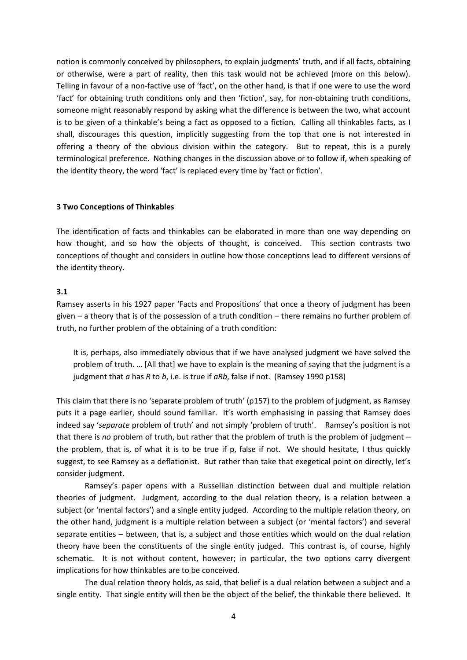notion is commonly conceived by philosophers, to explain judgments' truth, and if all facts, obtaining or otherwise, were a part of reality, then this task would not be achieved (more on this below). Telling in favour of a non-factive use of 'fact', on the other hand, is that if one were to use the word 'fact' for obtaining truth conditions only and then 'fiction', say, for non-obtaining truth conditions, someone might reasonably respond by asking what the difference is between the two, what account is to be given of a thinkable's being a fact as opposed to a fiction. Calling all thinkables facts, as I shall, discourages this question, implicitly suggesting from the top that one is not interested in offering a theory of the obvious division within the category. But to repeat, this is a purely terminological preference. Nothing changes in the discussion above or to follow if, when speaking of the identity theory, the word 'fact' is replaced every time by 'fact or fiction'.

#### **3 Two Conceptions of Thinkables**

The identification of facts and thinkables can be elaborated in more than one way depending on how thought, and so how the objects of thought, is conceived. This section contrasts two conceptions of thought and considers in outline how those conceptions lead to different versions of the identity theory.

### **3.1**

Ramsey asserts in his 1927 paper 'Facts and Propositions' that once a theory of judgment has been given – a theory that is of the possession of a truth condition – there remains no further problem of truth, no further problem of the obtaining of a truth condition:

It is, perhaps, also immediately obvious that if we have analysed judgment we have solved the problem of truth. … [All that] we have to explain is the meaning of saying that the judgment is a judgment that *a* has *R* to *b*, i.e. is true if *aRb*, false if not. (Ramsey 1990 p158)

This claim that there is no 'separate problem of truth' (p157) to the problem of judgment, as Ramsey puts it a page earlier, should sound familiar. It's worth emphasising in passing that Ramsey does indeed say '*separate* problem of truth' and not simply 'problem of truth'. Ramsey's position is not that there is *no* problem of truth, but rather that the problem of truth is the problem of judgment – the problem, that is, of what it is to be true if p, false if not. We should hesitate, I thus quickly suggest, to see Ramsey as a deflationist. But rather than take that exegetical point on directly, let's consider judgment.

Ramsey's paper opens with a Russellian distinction between dual and multiple relation theories of judgment. Judgment, according to the dual relation theory, is a relation between a subject (or 'mental factors') and a single entity judged. According to the multiple relation theory, on the other hand, judgment is a multiple relation between a subject (or 'mental factors') and several separate entities – between, that is, a subject and those entities which would on the dual relation theory have been the constituents of the single entity judged. This contrast is, of course, highly schematic. It is not without content, however; in particular, the two options carry divergent implications for how thinkables are to be conceived.

The dual relation theory holds, as said, that belief is a dual relation between a subject and a single entity. That single entity will then be the object of the belief, the thinkable there believed. It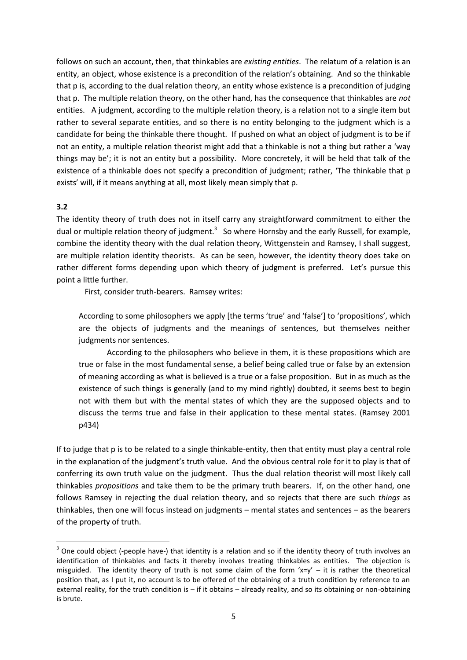follows on such an account, then, that thinkables are *existing entities*. The relatum of a relation is an entity, an object, whose existence is a precondition of the relation's obtaining. And so the thinkable that p is, according to the dual relation theory, an entity whose existence is a precondition of judging that p. The multiple relation theory, on the other hand, has the consequence that thinkables are *not* entities. A judgment, according to the multiple relation theory, is a relation not to a single item but rather to several separate entities, and so there is no entity belonging to the judgment which is a candidate for being the thinkable there thought. If pushed on what an object of judgment is to be if not an entity, a multiple relation theorist might add that a thinkable is not a thing but rather a 'way things may be'; it is not an entity but a possibility. More concretely, it will be held that talk of the existence of a thinkable does not specify a precondition of judgment; rather, 'The thinkable that p exists' will, if it means anything at all, most likely mean simply that p.

## **3.2**

1

The identity theory of truth does not in itself carry any straightforward commitment to either the dual or multiple relation theory of judgment.<sup>3</sup> So where Hornsby and the early Russell, for example, combine the identity theory with the dual relation theory, Wittgenstein and Ramsey, I shall suggest, are multiple relation identity theorists. As can be seen, however, the identity theory does take on rather different forms depending upon which theory of judgment is preferred. Let's pursue this point a little further.

First, consider truth-bearers. Ramsey writes:

According to some philosophers we apply [the terms 'true' and 'false'] to 'propositions', which are the objects of judgments and the meanings of sentences, but themselves neither judgments nor sentences.

According to the philosophers who believe in them, it is these propositions which are true or false in the most fundamental sense, a belief being called true or false by an extension of meaning according as what is believed is a true or a false proposition. But in as much as the existence of such things is generally (and to my mind rightly) doubted, it seems best to begin not with them but with the mental states of which they are the supposed objects and to discuss the terms true and false in their application to these mental states. (Ramsey 2001 p434)

If to judge that p is to be related to a single thinkable-entity, then that entity must play a central role in the explanation of the judgment's truth value. And the obvious central role for it to play is that of conferring its own truth value on the judgment. Thus the dual relation theorist will most likely call thinkables *propositions* and take them to be the primary truth bearers. If, on the other hand, one follows Ramsey in rejecting the dual relation theory, and so rejects that there are such *things* as thinkables, then one will focus instead on judgments – mental states and sentences – as the bearers of the property of truth.

 $3$  One could object (-people have-) that identity is a relation and so if the identity theory of truth involves an identification of thinkables and facts it thereby involves treating thinkables as entities. The objection is misguided. The identity theory of truth is not some claim of the form ' $x=y' - it$  is rather the theoretical position that, as I put it, no account is to be offered of the obtaining of a truth condition by reference to an external reality, for the truth condition is – if it obtains – already reality, and so its obtaining or non-obtaining is brute.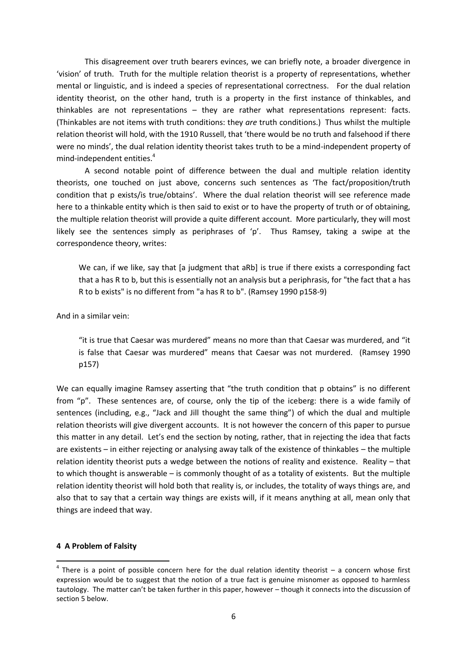This disagreement over truth bearers evinces, we can briefly note, a broader divergence in 'vision' of truth. Truth for the multiple relation theorist is a property of representations, whether mental or linguistic, and is indeed a species of representational correctness. For the dual relation identity theorist, on the other hand, truth is a property in the first instance of thinkables, and thinkables are not representations – they are rather what representations represent: facts. (Thinkables are not items with truth conditions: they *are* truth conditions.) Thus whilst the multiple relation theorist will hold, with the 1910 Russell, that 'there would be no truth and falsehood if there were no minds', the dual relation identity theorist takes truth to be a mind-independent property of mind-independent entities.<sup>4</sup>

A second notable point of difference between the dual and multiple relation identity theorists, one touched on just above, concerns such sentences as 'The fact/proposition/truth condition that p exists/is true/obtains'. Where the dual relation theorist will see reference made here to a thinkable entity which is then said to exist or to have the property of truth or of obtaining, the multiple relation theorist will provide a quite different account. More particularly, they will most likely see the sentences simply as periphrases of 'p'. Thus Ramsey, taking a swipe at the correspondence theory, writes:

We can, if we like, say that [a judgment that aRb] is true if there exists a corresponding fact that a has R to b, but this is essentially not an analysis but a periphrasis, for "the fact that a has R to b exists" is no different from "a has R to b". (Ramsey 1990 p158-9)

And in a similar vein:

"it is true that Caesar was murdered" means no more than that Caesar was murdered, and "it is false that Caesar was murdered" means that Caesar was not murdered. (Ramsey 1990 p157)

We can equally imagine Ramsey asserting that "the truth condition that p obtains" is no different from "p". These sentences are, of course, only the tip of the iceberg: there is a wide family of sentences (including, e.g., "Jack and Jill thought the same thing") of which the dual and multiple relation theorists will give divergent accounts. It is not however the concern of this paper to pursue this matter in any detail. Let's end the section by noting, rather, that in rejecting the idea that facts are existents – in either rejecting or analysing away talk of the existence of thinkables – the multiple relation identity theorist puts a wedge between the notions of reality and existence. Reality – that to which thought is answerable – is commonly thought of as a totality of existents. But the multiple relation identity theorist will hold both that reality is, or includes, the totality of ways things are, and also that to say that a certain way things are exists will, if it means anything at all, mean only that things are indeed that way.

### **4 A Problem of Falsity**

1

 $4$  There is a point of possible concern here for the dual relation identity theorist – a concern whose first expression would be to suggest that the notion of a true fact is genuine misnomer as opposed to harmless tautology. The matter can't be taken further in this paper, however – though it connects into the discussion of section 5 below.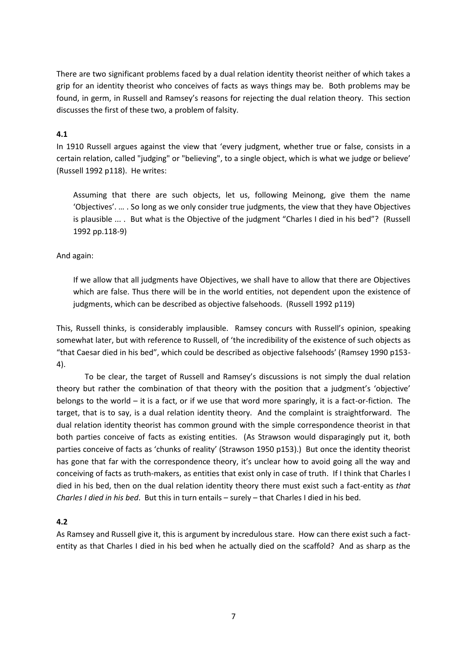There are two significant problems faced by a dual relation identity theorist neither of which takes a grip for an identity theorist who conceives of facts as ways things may be. Both problems may be found, in germ, in Russell and Ramsey's reasons for rejecting the dual relation theory. This section discusses the first of these two, a problem of falsity.

## **4.1**

In 1910 Russell argues against the view that 'every judgment, whether true or false, consists in a certain relation, called "judging" or "believing", to a single object, which is what we judge or believe' (Russell 1992 p118). He writes:

Assuming that there are such objects, let us, following Meinong, give them the name 'Objectives'. … . So long as we only consider true judgments, the view that they have Objectives is plausible ... . But what is the Objective of the judgment "Charles I died in his bed"? (Russell 1992 pp.118-9)

And again:

If we allow that all judgments have Objectives, we shall have to allow that there are Objectives which are false. Thus there will be in the world entities, not dependent upon the existence of judgments, which can be described as objective falsehoods. (Russell 1992 p119)

This, Russell thinks, is considerably implausible. Ramsey concurs with Russell's opinion, speaking somewhat later, but with reference to Russell, of 'the incredibility of the existence of such objects as "that Caesar died in his bed", which could be described as objective falsehoods' (Ramsey 1990 p153- 4).

To be clear, the target of Russell and Ramsey's discussions is not simply the dual relation theory but rather the combination of that theory with the position that a judgment's 'objective' belongs to the world – it is a fact, or if we use that word more sparingly, it is a fact-or-fiction. The target, that is to say, is a dual relation identity theory. And the complaint is straightforward. The dual relation identity theorist has common ground with the simple correspondence theorist in that both parties conceive of facts as existing entities. (As Strawson would disparagingly put it, both parties conceive of facts as 'chunks of reality' (Strawson 1950 p153).) But once the identity theorist has gone that far with the correspondence theory, it's unclear how to avoid going all the way and conceiving of facts as truth-makers, as entities that exist only in case of truth. If I think that Charles I died in his bed, then on the dual relation identity theory there must exist such a fact-entity as *that Charles I died in his bed*. But this in turn entails – surely – that Charles I died in his bed.

## **4.2**

As Ramsey and Russell give it, this is argument by incredulous stare. How can there exist such a factentity as that Charles I died in his bed when he actually died on the scaffold? And as sharp as the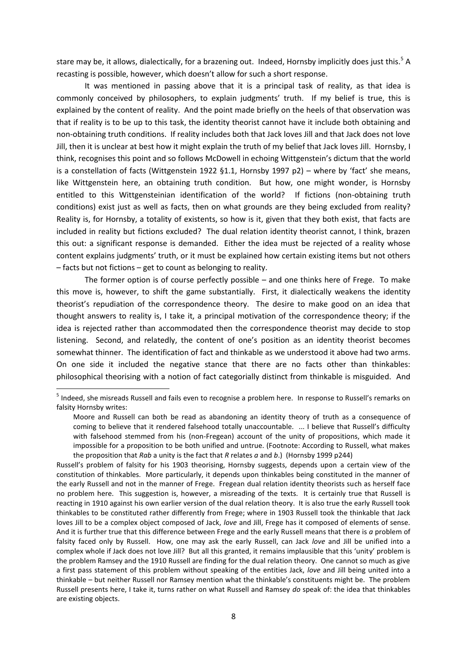stare may be, it allows, dialectically, for a brazening out. Indeed, Hornsby implicitly does just this.<sup>5</sup> A recasting is possible, however, which doesn't allow for such a short response.

It was mentioned in passing above that it is a principal task of reality, as that idea is commonly conceived by philosophers, to explain judgments' truth. If my belief is true, this is explained by the content of reality. And the point made briefly on the heels of that observation was that if reality is to be up to this task, the identity theorist cannot have it include both obtaining and non-obtaining truth conditions. If reality includes both that Jack loves Jill and that Jack does not love Jill, then it is unclear at best how it might explain the truth of my belief that Jack loves Jill. Hornsby, I think, recognises this point and so follows McDowell in echoing Wittgenstein's dictum that the world is a constellation of facts (Wittgenstein 1922 §1.1, Hornsby 1997 p2) – where by 'fact' she means, like Wittgenstein here, an obtaining truth condition. But how, one might wonder, is Hornsby entitled to this Wittgensteinian identification of the world? If fictions (non-obtaining truth conditions) exist just as well as facts, then on what grounds are they being excluded from reality? Reality is, for Hornsby, a totality of existents, so how is it, given that they both exist, that facts are included in reality but fictions excluded? The dual relation identity theorist cannot, I think, brazen this out: a significant response is demanded. Either the idea must be rejected of a reality whose content explains judgments' truth, or it must be explained how certain existing items but not others – facts but not fictions – get to count as belonging to reality.

The former option is of course perfectly possible – and one thinks here of Frege. To make this move is, however, to shift the game substantially. First, it dialectically weakens the identity theorist's repudiation of the correspondence theory. The desire to make good on an idea that thought answers to reality is, I take it, a principal motivation of the correspondence theory; if the idea is rejected rather than accommodated then the correspondence theorist may decide to stop listening. Second, and relatedly, the content of one's position as an identity theorist becomes somewhat thinner. The identification of fact and thinkable as we understood it above had two arms. On one side it included the negative stance that there are no facts other than thinkables: philosophical theorising with a notion of fact categorially distinct from thinkable is misguided. And

1

<sup>&</sup>lt;sup>5</sup> Indeed, she misreads Russell and fails even to recognise a problem here. In response to Russell's remarks on falsity Hornsby writes:

Moore and Russell can both be read as abandoning an identity theory of truth as a consequence of coming to believe that it rendered falsehood totally unaccountable. ... I believe that Russell's difficulty with falsehood stemmed from his (non-Fregean) account of the unity of propositions, which made it impossible for a proposition to be both unified and untrue. (Footnote: According to Russell, what makes the proposition that *Rab* a unity is the fact that *R* relates *a* and *b*.) (Hornsby 1999 p244)

Russell's problem of falsity for his 1903 theorising, Hornsby suggests, depends upon a certain view of the constitution of thinkables. More particularly, it depends upon thinkables being constituted in the manner of the early Russell and not in the manner of Frege. Fregean dual relation identity theorists such as herself face no problem here. This suggestion is, however, a misreading of the texts. It is certainly true that Russell is reacting in 1910 against his own earlier version of the dual relation theory. It is also true the early Russell took thinkables to be constituted rather differently from Frege; where in 1903 Russell took the thinkable that Jack loves Jill to be a complex object composed of Jack, *love* and Jill, Frege has it composed of elements of sense. And it is further true that this difference between Frege and the early Russell means that there is *a* problem of falsity faced only by Russell. How, one may ask the early Russell, can Jack *love* and Jill be unified into a complex whole if Jack does not love Jill? But all this granted, it remains implausible that this 'unity' problem is the problem Ramsey and the 1910 Russell are finding for the dual relation theory. One cannot so much as give a first pass statement of this problem without speaking of the entities Jack, *love* and Jill being united into a thinkable – but neither Russell nor Ramsey mention what the thinkable's constituents might be. The problem Russell presents here, I take it, turns rather on what Russell and Ramsey *do* speak of: the idea that thinkables are existing objects.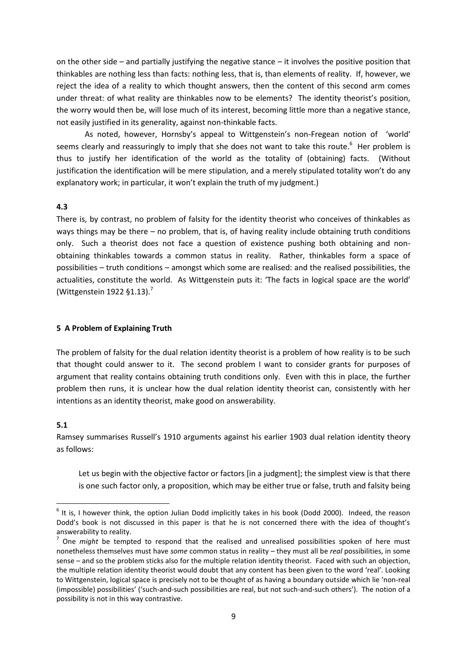on the other side – and partially justifying the negative stance – it involves the positive position that thinkables are nothing less than facts: nothing less, that is, than elements of reality. If, however, we reject the idea of a reality to which thought answers, then the content of this second arm comes under threat: of what reality are thinkables now to be elements? The identity theorist's position, the worry would then be, will lose much of its interest, becoming little more than a negative stance, not easily justified in its generality, against non-thinkable facts.

As noted, however, Hornsby's appeal to Wittgenstein's non-Fregean notion of 'world' seems clearly and reassuringly to imply that she does not want to take this route.<sup>6</sup> Her problem is thus to justify her identification of the world as the totality of (obtaining) facts. (Without justification the identification will be mere stipulation, and a merely stipulated totality won't do any explanatory work; in particular, it won't explain the truth of my judgment.)

## **4.3**

There is, by contrast, no problem of falsity for the identity theorist who conceives of thinkables as ways things may be there – no problem, that is, of having reality include obtaining truth conditions only. Such a theorist does not face a question of existence pushing both obtaining and nonobtaining thinkables towards a common status in reality. Rather, thinkables form a space of possibilities – truth conditions – amongst which some are realised: and the realised possibilities, the actualities, constitute the world. As Wittgenstein puts it: 'The facts in logical space are the world' (Wittgenstein 1922 §1.13). $<sup>7</sup>$ </sup>

## **5 A Problem of Explaining Truth**

The problem of falsity for the dual relation identity theorist is a problem of how reality is to be such that thought could answer to it. The second problem I want to consider grants for purposes of argument that reality contains obtaining truth conditions only. Even with this in place, the further problem then runs, it is unclear how the dual relation identity theorist can, consistently with her intentions as an identity theorist, make good on answerability.

## **5.1**

**.** 

Ramsey summarises Russell's 1910 arguments against his earlier 1903 dual relation identity theory as follows:

Let us begin with the objective factor or factors [in a judgment]; the simplest view is that there is one such factor only, a proposition, which may be either true or false, truth and falsity being

<sup>&</sup>lt;sup>6</sup> It is, I however think, the option Julian Dodd implicitly takes in his book (Dodd 2000). Indeed, the reason Dodd's book is not discussed in this paper is that he is not concerned there with the idea of thought's answerability to reality.

<sup>7</sup> One *might* be tempted to respond that the realised and unrealised possibilities spoken of here must nonetheless themselves must have *some* common status in reality – they must all be *real* possibilities, in some sense – and so the problem sticks also for the multiple relation identity theorist. Faced with such an objection, the multiple relation identity theorist would doubt that any content has been given to the word 'real'. Looking to Wittgenstein, logical space is precisely not to be thought of as having a boundary outside which lie 'non-real (impossible) possibilities' ('such-and-such possibilities are real, but not such-and-such others'). The notion of a possibility is not in this way contrastive.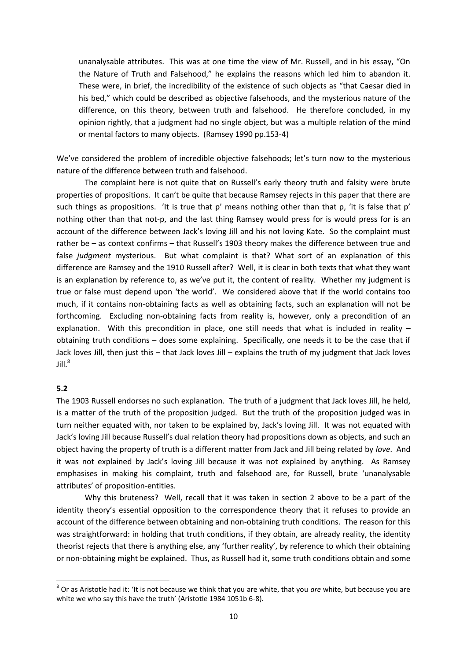unanalysable attributes. This was at one time the view of Mr. Russell, and in his essay, "On the Nature of Truth and Falsehood," he explains the reasons which led him to abandon it. These were, in brief, the incredibility of the existence of such objects as "that Caesar died in his bed," which could be described as objective falsehoods, and the mysterious nature of the difference, on this theory, between truth and falsehood. He therefore concluded, in my opinion rightly, that a judgment had no single object, but was a multiple relation of the mind or mental factors to many objects. (Ramsey 1990 pp.153-4)

We've considered the problem of incredible objective falsehoods; let's turn now to the mysterious nature of the difference between truth and falsehood.

The complaint here is not quite that on Russell's early theory truth and falsity were brute properties of propositions. It can't be quite that because Ramsey rejects in this paper that there are such things as propositions. 'It is true that p' means nothing other than that p, 'it is false that p' nothing other than that not-p, and the last thing Ramsey would press for is would press for is an account of the difference between Jack's loving Jill and his not loving Kate. So the complaint must rather be – as context confirms – that Russell's 1903 theory makes the difference between true and false *judgment* mysterious. But what complaint is that? What sort of an explanation of this difference are Ramsey and the 1910 Russell after? Well, it is clear in both texts that what they want is an explanation by reference to, as we've put it, the content of reality. Whether my judgment is true or false must depend upon 'the world'. We considered above that if the world contains too much, if it contains non-obtaining facts as well as obtaining facts, such an explanation will not be forthcoming. Excluding non-obtaining facts from reality is, however, only a precondition of an explanation. With this precondition in place, one still needs that what is included in reality obtaining truth conditions – does some explaining. Specifically, one needs it to be the case that if Jack loves Jill, then just this – that Jack loves Jill – explains the truth of my judgment that Jack loves  $Jill.<sup>8</sup>$ 

## **5.2**

 $\overline{a}$ 

The 1903 Russell endorses no such explanation. The truth of a judgment that Jack loves Jill, he held, is a matter of the truth of the proposition judged. But the truth of the proposition judged was in turn neither equated with, nor taken to be explained by, Jack's loving Jill. It was not equated with Jack's loving Jill because Russell's dual relation theory had propositions down as objects, and such an object having the property of truth is a different matter from Jack and Jill being related by *love*. And it was not explained by Jack's loving Jill because it was not explained by anything. As Ramsey emphasises in making his complaint, truth and falsehood are, for Russell, brute 'unanalysable attributes' of proposition-entities.

Why this bruteness? Well, recall that it was taken in section 2 above to be a part of the identity theory's essential opposition to the correspondence theory that it refuses to provide an account of the difference between obtaining and non-obtaining truth conditions. The reason for this was straightforward: in holding that truth conditions, if they obtain, are already reality, the identity theorist rejects that there is anything else, any 'further reality', by reference to which their obtaining or non-obtaining might be explained. Thus, as Russell had it, some truth conditions obtain and some

<sup>8</sup> Or as Aristotle had it: 'It is not because we think that you are white, that you *are* white, but because you are white we who say this have the truth' (Aristotle 1984 1051b 6-8).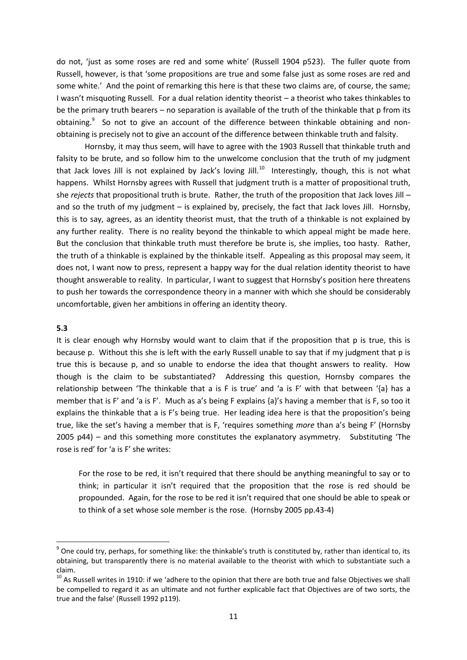do not, 'just as some roses are red and some white' (Russell 1904 p523). The fuller quote from Russell, however, is that 'some propositions are true and some false just as some roses are red and some white.' And the point of remarking this here is that these two claims are, of course, the same; I wasn't misquoting Russell. For a dual relation identity theorist – a theorist who takes thinkables to be the primary truth bearers – no separation is available of the truth of the thinkable that p from its obtaining.<sup>9</sup> So not to give an account of the difference between thinkable obtaining and nonobtaining is precisely not to give an account of the difference between thinkable truth and falsity.

Hornsby, it may thus seem, will have to agree with the 1903 Russell that thinkable truth and falsity to be brute, and so follow him to the unwelcome conclusion that the truth of my judgment that Jack loves Jill is not explained by Jack's loving Jill.<sup>10</sup> Interestingly, though, this is not what happens. Whilst Hornsby agrees with Russell that judgment truth is a matter of propositional truth, she *rejects* that propositional truth is brute. Rather, the truth of the proposition that Jack loves Jill – and so the truth of my judgment – is explained by, precisely, the fact that Jack loves Jill. Hornsby, this is to say, agrees, as an identity theorist must, that the truth of a thinkable is not explained by any further reality. There is no reality beyond the thinkable to which appeal might be made here. But the conclusion that thinkable truth must therefore be brute is, she implies, too hasty. Rather, the truth of a thinkable is explained by the thinkable itself. Appealing as this proposal may seem, it does not, I want now to press, represent a happy way for the dual relation identity theorist to have thought answerable to reality. In particular, I want to suggest that Hornsby's position here threatens to push her towards the correspondence theory in a manner with which she should be considerably uncomfortable, given her ambitions in offering an identity theory.

### **5.3**

1

It is clear enough why Hornsby would want to claim that if the proposition that p is true, this is because p. Without this she is left with the early Russell unable to say that if my judgment that p is true this is because p, and so unable to endorse the idea that thought answers to reality. How though is the claim to be substantiated? Addressing this question, Hornsby compares the relationship between 'The thinkable that a is F is true' and 'a is F' with that between '{a} has a member that is F' and 'a is F'. Much as a's being F explains {a}'s having a member that is F, so too it explains the thinkable that a is F's being true. Her leading idea here is that the proposition's being true, like the set's having a member that is F, 'requires something *more* than a's being F' (Hornsby 2005 p44) – and this something more constitutes the explanatory asymmetry. Substituting 'The rose is red' for 'a is F' she writes:

For the rose to be red, it isn't required that there should be anything meaningful to say or to think; in particular it isn't required that the proposition that the rose is red should be propounded. Again, for the rose to be red it isn't required that one should be able to speak or to think of a set whose sole member is the rose. (Hornsby 2005 pp.43-4)

 $^9$  One could try, perhaps, for something like: the thinkable's truth is constituted by, rather than identical to, its obtaining, but transparently there is no material available to the theorist with which to substantiate such a claim.

 $10$  As Russell writes in 1910: if we 'adhere to the opinion that there are both true and false Objectives we shall be compelled to regard it as an ultimate and not further explicable fact that Objectives are of two sorts, the true and the false' (Russell 1992 p119).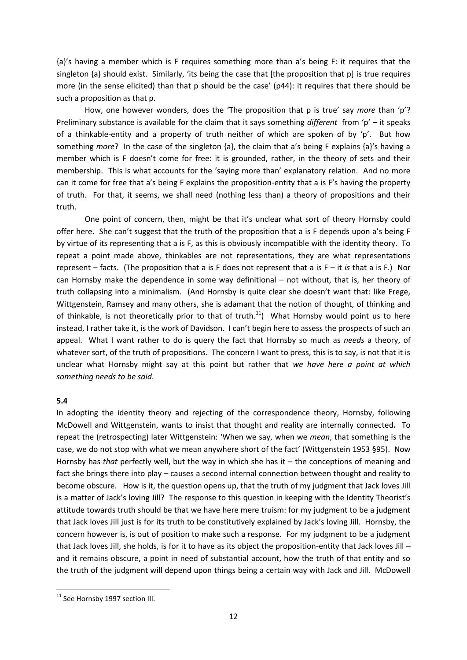{a}'s having a member which is F requires something more than a's being F: it requires that the singleton  $\{a\}$  should exist. Similarly, 'its being the case that [the proposition that p] is true requires more (in the sense elicited) than that p should be the case' (p44): it requires that there should be such a proposition as that p.

How, one however wonders, does the 'The proposition that p is true' say *more* than 'p'? Preliminary substance is available for the claim that it says something *different* from 'p' – it speaks of a thinkable-entity and a property of truth neither of which are spoken of by 'p'. But how something *more*? In the case of the singleton {a}, the claim that a's being F explains {a}'s having a member which is F doesn't come for free: it is grounded, rather, in the theory of sets and their membership. This is what accounts for the 'saying more than' explanatory relation. And no more can it come for free that a's being F explains the proposition-entity that a is F's having the property of truth. For that, it seems, we shall need (nothing less than) a theory of propositions and their truth.

One point of concern, then, might be that it's unclear what sort of theory Hornsby could offer here. She can't suggest that the truth of the proposition that a is F depends upon a's being F by virtue of its representing that a is F, as this is obviously incompatible with the identity theory. To repeat a point made above, thinkables are not representations, they are what representations represent – facts. (The proposition that a is F does not represent that a is F – it *is* that a is F.)Nor can Hornsby make the dependence in some way definitional – not without, that is, her theory of truth collapsing into a minimalism. (And Hornsby is quite clear she doesn't want that: like Frege, Wittgenstein, Ramsey and many others, she is adamant that the notion of thought, of thinking and of thinkable, is not theoretically prior to that of truth.<sup>11</sup>) What Hornsby would point us to here instead, I rather take it, is the work of Davidson. I can't begin here to assess the prospects of such an appeal. What I want rather to do is query the fact that Hornsby so much as *needs* a theory, of whatever sort, of the truth of propositions. The concern I want to press, this is to say, is not that it is unclear what Hornsby might say at this point but rather that *we have here a point at which something needs to be said*.

## **5.4**

1

In adopting the identity theory and rejecting of the correspondence theory, Hornsby, following McDowell and Wittgenstein, wants to insist that thought and reality are internally connected**.** To repeat the (retrospecting) later Wittgenstein: 'When we say, when we *mean*, that something is the case, we do not stop with what we mean anywhere short of the fact' (Wittgenstein 1953 §95). Now Hornsby has *that* perfectly well, but the way in which she has it – the conceptions of meaning and fact she brings there into play – causes a second internal connection between thought and reality to become obscure. How is it, the question opens up, that the truth of my judgment that Jack loves Jill is a matter of Jack's loving Jill? The response to this question in keeping with the Identity Theorist's attitude towards truth should be that we have here mere truism: for my judgment to be a judgment that Jack loves Jill just is for its truth to be constitutively explained by Jack's loving Jill. Hornsby, the concern however is, is out of position to make such a response. For my judgment to be a judgment that Jack loves Jill, she holds, is for it to have as its object the proposition-entity that Jack loves Jill – and it remains obscure, a point in need of substantial account, how the truth of that entity and so the truth of the judgment will depend upon things being a certain way with Jack and Jill. McDowell

<sup>&</sup>lt;sup>11</sup> See Hornsby 1997 section III.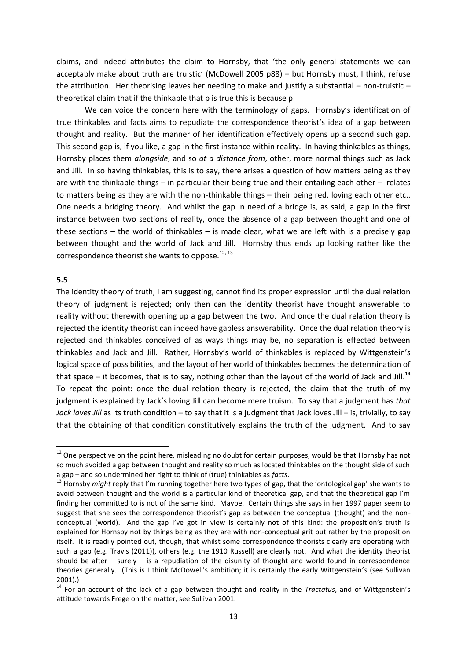claims, and indeed attributes the claim to Hornsby, that 'the only general statements we can acceptably make about truth are truistic' (McDowell 2005 p88) – but Hornsby must, I think, refuse the attribution. Her theorising leaves her needing to make and justify a substantial – non-truistic – theoretical claim that if the thinkable that p is true this is because p.

We can voice the concern here with the terminology of gaps. Hornsby's identification of true thinkables and facts aims to repudiate the correspondence theorist's idea of a gap between thought and reality. But the manner of her identification effectively opens up a second such gap. This second gap is, if you like, a gap in the first instance within reality. In having thinkables as things, Hornsby places them *alongside*, and so *at a distance from*, other, more normal things such as Jack and Jill. In so having thinkables, this is to say, there arises a question of how matters being as they are with the thinkable-things – in particular their being true and their entailing each other – relates to matters being as they are with the non-thinkable things – their being red, loving each other etc.. One needs a bridging theory. And whilst the gap in need of a bridge is, as said, a gap in the first instance between two sections of reality, once the absence of a gap between thought and one of these sections – the world of thinkables – is made clear, what we are left with is a precisely gap between thought and the world of Jack and Jill. Hornsby thus ends up looking rather like the correspondence theorist she wants to oppose. $^{12, 13}$ 

#### **5.5**

**.** 

The identity theory of truth, I am suggesting, cannot find its proper expression until the dual relation theory of judgment is rejected; only then can the identity theorist have thought answerable to reality without therewith opening up a gap between the two. And once the dual relation theory is rejected the identity theorist can indeed have gapless answerability. Once the dual relation theory is rejected and thinkables conceived of as ways things may be, no separation is effected between thinkables and Jack and Jill. Rather, Hornsby's world of thinkables is replaced by Wittgenstein's logical space of possibilities, and the layout of her world of thinkables becomes the determination of that space – it becomes, that is to say, nothing other than the layout of the world of Jack and Jill.<sup>14</sup> To repeat the point: once the dual relation theory is rejected, the claim that the truth of my judgment is explained by Jack's loving Jill can become mere truism. To say that a judgment has *that Jack loves Jill* as its truth condition – to say that it is a judgment that Jack loves Jill – is, trivially, to say that the obtaining of that condition constitutively explains the truth of the judgment. And to say

 $12$  One perspective on the point here, misleading no doubt for certain purposes, would be that Hornsby has not so much avoided a gap between thought and reality so much as located thinkables on the thought side of such a gap – and so undermined her right to think of (true) thinkables as *facts*.

<sup>13</sup> Hornsby *might* reply that I'm running together here two types of gap, that the 'ontological gap' she wants to avoid between thought and the world is a particular kind of theoretical gap, and that the theoretical gap I'm finding her committed to is not of the same kind. Maybe. Certain things she says in her 1997 paper seem to suggest that she sees the correspondence theorist's gap as between the conceptual (thought) and the nonconceptual (world). And the gap I've got in view is certainly not of this kind: the proposition's truth is explained for Hornsby not by things being as they are with non-conceptual grit but rather by the proposition itself. It is readily pointed out, though, that whilst some correspondence theorists clearly are operating with such a gap (e.g. Travis (2011)), others (e.g. the 1910 Russell) are clearly not. And what the identity theorist should be after – surely – is a repudiation of the disunity of thought and world found in correspondence theories generally. (This is I think McDowell's ambition; it is certainly the early Wittgenstein's (see Sullivan 2001).)

<sup>&</sup>lt;sup>14</sup> For an account of the lack of a gap between thought and reality in the *Tractatus*, and of Wittgenstein's attitude towards Frege on the matter, see Sullivan 2001.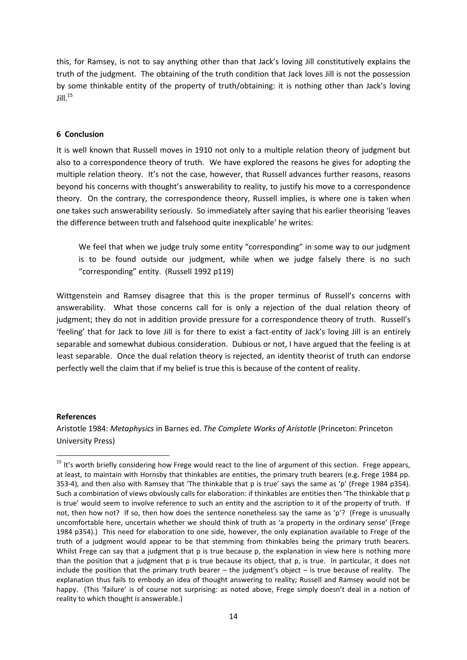this, for Ramsey, is not to say anything other than that Jack's loving Jill constitutively explains the truth of the judgment. The obtaining of the truth condition that Jack loves Jill is not the possession by some thinkable entity of the property of truth/obtaining: it is nothing other than Jack's loving  $Jill.<sup>15</sup>$ 

## **6 Conclusion**

It is well known that Russell moves in 1910 not only to a multiple relation theory of judgment but also to a correspondence theory of truth. We have explored the reasons he gives for adopting the multiple relation theory. It's not the case, however, that Russell advances further reasons, reasons beyond his concerns with thought's answerability to reality, to justify his move to a correspondence theory. On the contrary, the correspondence theory, Russell implies, is where one is taken when one takes such answerability seriously. So immediately after saying that his earlier theorising 'leaves the difference between truth and falsehood quite inexplicable' he writes:

We feel that when we judge truly some entity "corresponding" in some way to our judgment is to be found outside our judgment, while when we judge falsely there is no such "corresponding" entity. (Russell 1992 p119)

Wittgenstein and Ramsey disagree that this is the proper terminus of Russell's concerns with answerability. What those concerns call for is only a rejection of the dual relation theory of judgment; they do not in addition provide pressure for a correspondence theory of truth. Russell's 'feeling' that for Jack to love Jill is for there to exist a fact-entity of Jack's loving Jill is an entirely separable and somewhat dubious consideration. Dubious or not, I have argued that the feeling is at least separable. Once the dual relation theory is rejected, an identity theorist of truth can endorse perfectly well the claim that if my belief is true this is because of the content of reality.

## **References**

1

Aristotle 1984: *Metaphysics* in Barnes ed. *The Complete Works of Aristotle* (Princeton: Princeton University Press)

<sup>&</sup>lt;sup>15</sup> It's worth briefly considering how Frege would react to the line of argument of this section. Frege appears, at least, to maintain with Hornsby that thinkables are entities, the primary truth bearers (e.g. Frege 1984 pp. 353-4), and then also with Ramsey that 'The thinkable that p is true' says the same as 'p' (Frege 1984 p354). Such a combination of views obviously calls for elaboration: if thinkables are entities then 'The thinkable that p is true' would seem to involve reference to such an entity and the ascription to it of the property of truth. If not, then how not? If so, then how does the sentence nonetheless say the same as 'p'? (Frege is unusually uncomfortable here, uncertain whether we should think of truth as 'a property in the ordinary sense' (Frege 1984 p354).) This need for elaboration to one side, however, the only explanation available to Frege of the truth of a judgment would appear to be that stemming from thinkables being the primary truth bearers. Whilst Frege can say that a judgment that p is true because p, the explanation in view here is nothing more than the position that a judgment that p is true because its object, that p, is true. In particular, it does not include the position that the primary truth bearer – the judgment's object – is true because of reality. The explanation thus fails to embody an idea of thought answering to reality; Russell and Ramsey would not be happy. (This 'failure' is of course not surprising: as noted above, Frege simply doesn't deal in a notion of reality to which thought is answerable.)